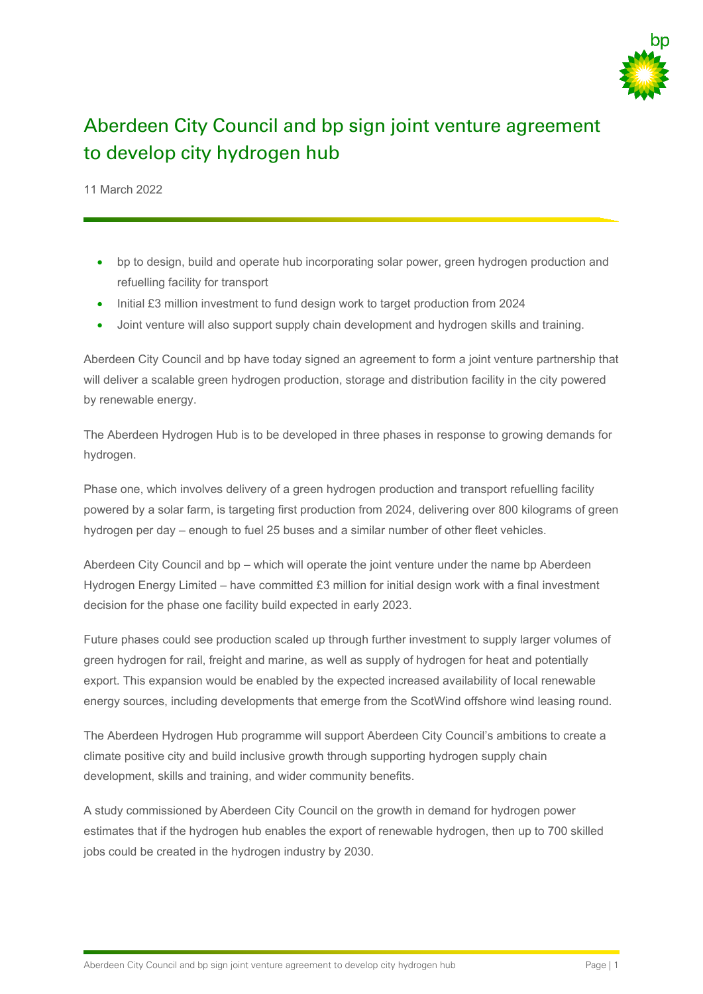

## Aberdeen City Council and bp sign joint venture agreement to develop city hydrogen hub

11 March 2022

- bp to design, build and operate hub incorporating solar power, green hydrogen production and refuelling facility for transport
- Initial £3 million investment to fund design work to target production from 2024
- Joint venture will also support supply chain development and hydrogen skills and training.

Aberdeen City Council and bp have today signed an agreement to form a joint venture partnership that will deliver a scalable green hydrogen production, storage and distribution facility in the city powered by renewable energy.

The Aberdeen Hydrogen Hub is to be developed in three phases in response to growing demands for hydrogen.

Phase one, which involves delivery of a green hydrogen production and transport refuelling facility powered by a solar farm, is targeting first production from 2024, delivering over 800 kilograms of green hydrogen per day – enough to fuel 25 buses and a similar number of other fleet vehicles.

Aberdeen City Council and bp – which will operate the joint venture under the name bp Aberdeen Hydrogen Energy Limited – have committed £3 million for initial design work with a final investment decision for the phase one facility build expected in early 2023.

Future phases could see production scaled up through further investment to supply larger volumes of green hydrogen for rail, freight and marine, as well as supply of hydrogen for heat and potentially export. This expansion would be enabled by the expected increased availability of local renewable energy sources, including developments that emerge from the ScotWind offshore wind leasing round.

The Aberdeen Hydrogen Hub programme will support Aberdeen City Council's ambitions to create a climate positive city and build inclusive growth through supporting hydrogen supply chain development, skills and training, and wider community benefits.

A study commissioned by Aberdeen City Council on the growth in demand for hydrogen power estimates that if the hydrogen hub enables the export of renewable hydrogen, then up to 700 skilled jobs could be created in the hydrogen industry by 2030.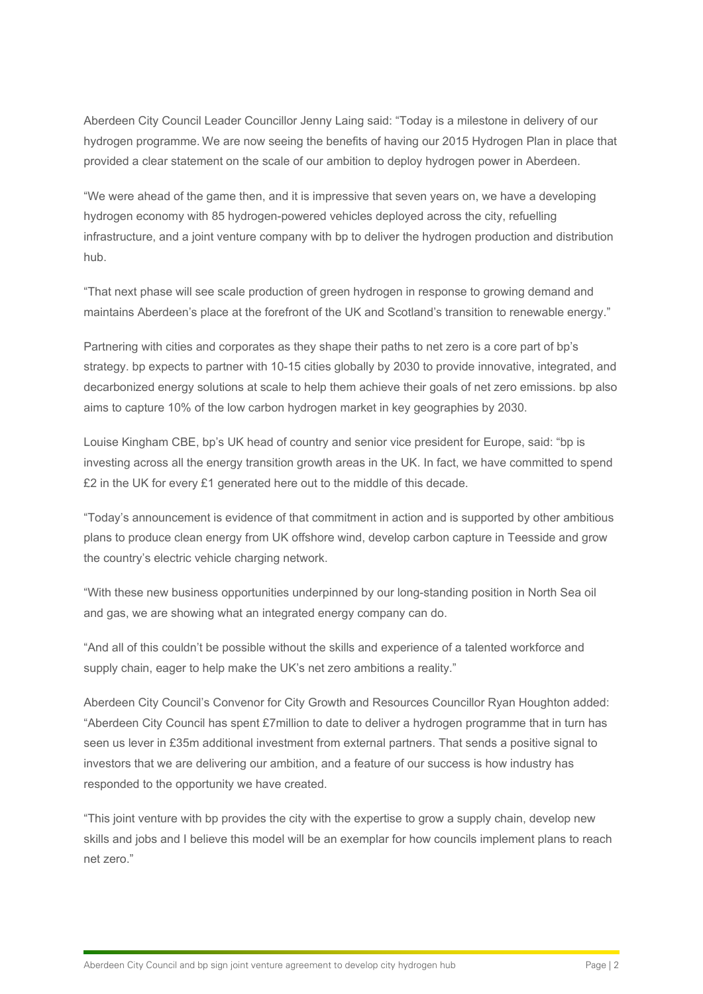Aberdeen City Council Leader Councillor Jenny Laing said: "Today is a milestone in delivery of our hydrogen programme. We are now seeing the benefits of having our 2015 Hydrogen Plan in place that provided a clear statement on the scale of our ambition to deploy hydrogen power in Aberdeen.

"We were ahead of the game then, and it is impressive that seven years on, we have a developing hydrogen economy with 85 hydrogen-powered vehicles deployed across the city, refuelling infrastructure, and a joint venture company with bp to deliver the hydrogen production and distribution hub.

"That next phase will see scale production of green hydrogen in response to growing demand and maintains Aberdeen's place at the forefront of the UK and Scotland's transition to renewable energy."

Partnering with cities and corporates as they shape their paths to net zero is a core part of bp's strategy. bp expects to partner with 10-15 cities globally by 2030 to provide innovative, integrated, and decarbonized energy solutions at scale to help them achieve their goals of net zero emissions. bp also aims to capture 10% of the low carbon hydrogen market in key geographies by 2030.

Louise Kingham CBE, bp's UK head of country and senior vice president for Europe, said: "bp is investing across all the energy transition growth areas in the UK. In fact, we have committed to spend £2 in the UK for every £1 generated here out to the middle of this decade.

"Today's announcement is evidence of that commitment in action and is supported by other ambitious plans to produce clean energy from UK offshore wind, develop carbon capture in Teesside and grow the country's electric vehicle charging network.

"With these new business opportunities underpinned by our long-standing position in North Sea oil and gas, we are showing what an integrated energy company can do.

"And all of this couldn't be possible without the skills and experience of a talented workforce and supply chain, eager to help make the UK's net zero ambitions a reality."

Aberdeen City Council's Convenor for City Growth and Resources Councillor Ryan Houghton added: "Aberdeen City Council has spent £7million to date to deliver a hydrogen programme that in turn has seen us lever in £35m additional investment from external partners. That sends a positive signal to investors that we are delivering our ambition, and a feature of our success is how industry has responded to the opportunity we have created.

"This joint venture with bp provides the city with the expertise to grow a supply chain, develop new skills and jobs and I believe this model will be an exemplar for how councils implement plans to reach net zero."